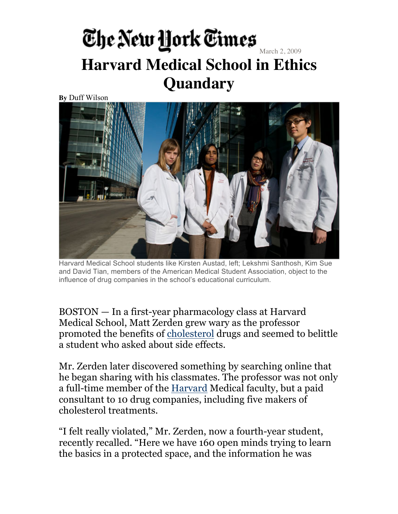#### The New York Times **Harvard Medical School in Ethics Quandary**

**By** Duff Wilson



Harvard Medical School students like Kirsten Austad, left; Lekshmi Santhosh, Kim Sue and David Tian, members of the American Medical Student Association, object to the influence of drug companies in the school's educational curriculum.

BOSTON — In a first-year pharmacology class at Harvard Medical School, Matt Zerden grew wary as the professor promoted the benefits of cholesterol drugs and seemed to belittle a student who asked about side effects.

Mr. Zerden later discovered something by searching online that he began sharing with his classmates. The professor was not only a full-time member of the Harvard Medical faculty, but a paid consultant to 10 drug companies, including five makers of cholesterol treatments.

"I felt really violated," Mr. Zerden, now a fourth-year student, recently recalled. "Here we have 160 open minds trying to learn the basics in a protected space, and the information he was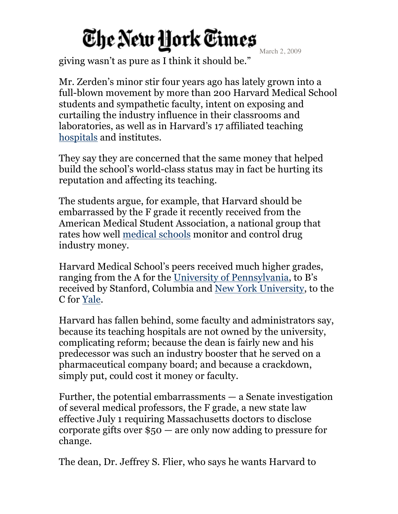March 2, 2009

giving wasn't as pure as I think it should be."

Mr. Zerden's minor stir four years ago has lately grown into a full-blown movement by more than 200 Harvard Medical School students and sympathetic faculty, intent on exposing and curtailing the industry influence in their classrooms and laboratories, as well as in Harvard's 17 affiliated teaching hospitals and institutes.

They say they are concerned that the same money that helped build the school's world-class status may in fact be hurting its reputation and affecting its teaching.

The students argue, for example, that Harvard should be embarrassed by the F grade it recently received from the American Medical Student Association, a national group that rates how well medical schools monitor and control drug industry money.

Harvard Medical School's peers received much higher grades, ranging from the A for the University of Pennsylvania, to B's received by Stanford, Columbia and New York University, to the C for Yale.

Harvard has fallen behind, some faculty and administrators say, because its teaching hospitals are not owned by the university, complicating reform; because the dean is fairly new and his predecessor was such an industry booster that he served on a pharmaceutical company board; and because a crackdown, simply put, could cost it money or faculty.

Further, the potential embarrassments — a Senate investigation of several medical professors, the F grade, a new state law effective July 1 requiring Massachusetts doctors to disclose corporate gifts over \$50 — are only now adding to pressure for change.

The dean, Dr. Jeffrey S. Flier, who says he wants Harvard to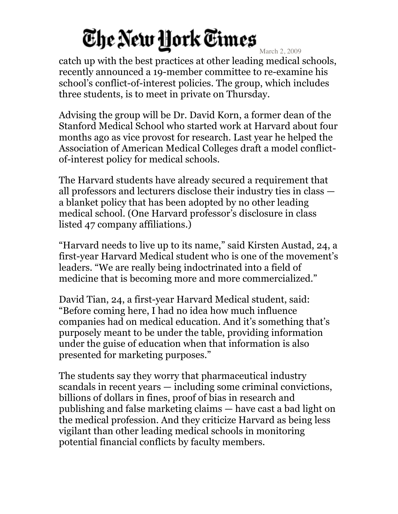March 2, 2009 catch up with the best practices at other leading medical schools, recently announced a 19-member committee to re-examine his school's conflict-of-interest policies. The group, which includes three students, is to meet in private on Thursday.

Advising the group will be Dr. David Korn, a former dean of the Stanford Medical School who started work at Harvard about four months ago as vice provost for research. Last year he helped the Association of American Medical Colleges draft a model conflictof-interest policy for medical schools.

The Harvard students have already secured a requirement that all professors and lecturers disclose their industry ties in class a blanket policy that has been adopted by no other leading medical school. (One Harvard professor's disclosure in class listed 47 company affiliations.)

"Harvard needs to live up to its name," said Kirsten Austad, 24, a first-year Harvard Medical student who is one of the movement's leaders. "We are really being indoctrinated into a field of medicine that is becoming more and more commercialized."

David Tian, 24, a first-year Harvard Medical student, said: "Before coming here, I had no idea how much influence companies had on medical education. And it's something that's purposely meant to be under the table, providing information under the guise of education when that information is also presented for marketing purposes."

The students say they worry that pharmaceutical industry scandals in recent years — including some criminal convictions, billions of dollars in fines, proof of bias in research and publishing and false marketing claims — have cast a bad light on the medical profession. And they criticize Harvard as being less vigilant than other leading medical schools in monitoring potential financial conflicts by faculty members.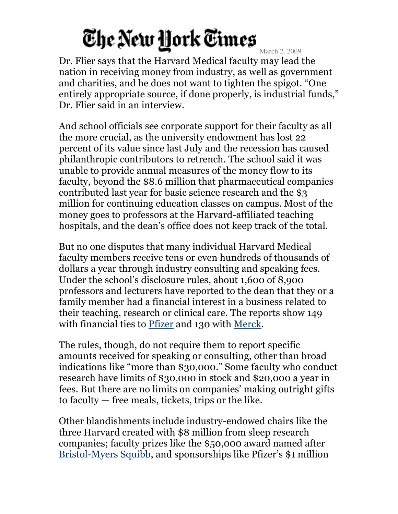March 2, 2009

Dr. Flier says that the Harvard Medical faculty may lead the nation in receiving money from industry, as well as government and charities, and he does not want to tighten the spigot. "One entirely appropriate source, if done properly, is industrial funds," Dr. Flier said in an interview.

And school officials see corporate support for their faculty as all the more crucial, as the university endowment has lost 22 percent of its value since last July and the recession has caused philanthropic contributors to retrench. The school said it was unable to provide annual measures of the money flow to its faculty, beyond the \$8.6 million that pharmaceutical companies contributed last year for basic science research and the \$3 million for continuing education classes on campus. Most of the money goes to professors at the Harvard-affiliated teaching hospitals, and the dean's office does not keep track of the total.

But no one disputes that many individual Harvard Medical faculty members receive tens or even hundreds of thousands of dollars a year through industry consulting and speaking fees. Under the school's disclosure rules, about 1,600 of 8,900 professors and lecturers have reported to the dean that they or a family member had a financial interest in a business related to their teaching, research or clinical care. The reports show 149 with financial ties to Pfizer and 130 with Merck.

The rules, though, do not require them to report specific amounts received for speaking or consulting, other than broad indications like "more than \$30,000." Some faculty who conduct research have limits of \$30,000 in stock and \$20,000 a year in fees. But there are no limits on companies' making outright gifts to faculty — free meals, tickets, trips or the like.

Other blandishments include industry-endowed chairs like the three Harvard created with \$8 million from sleep research companies; faculty prizes like the \$50,000 award named after Bristol-Myers Squibb, and sponsorships like Pfizer's \$1 million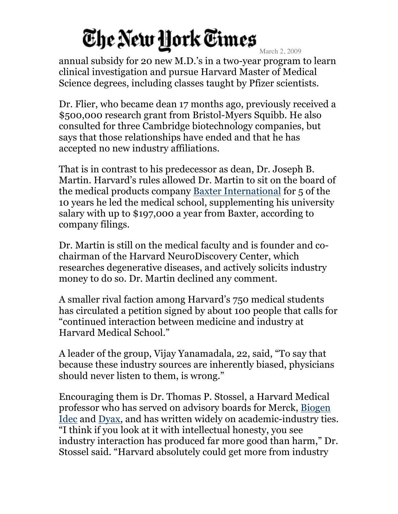March 2, 2009

annual subsidy for 20 new M.D.'s in a two-year program to learn clinical investigation and pursue Harvard Master of Medical Science degrees, including classes taught by Pfizer scientists.

Dr. Flier, who became dean 17 months ago, previously received a \$500,000 research grant from Bristol-Myers Squibb. He also consulted for three Cambridge biotechnology companies, but says that those relationships have ended and that he has accepted no new industry affiliations.

That is in contrast to his predecessor as dean, Dr. Joseph B. Martin. Harvard's rules allowed Dr. Martin to sit on the board of the medical products company Baxter International for 5 of the 10 years he led the medical school, supplementing his university salary with up to \$197,000 a year from Baxter, according to company filings.

Dr. Martin is still on the medical faculty and is founder and cochairman of the Harvard NeuroDiscovery Center, which researches degenerative diseases, and actively solicits industry money to do so. Dr. Martin declined any comment.

A smaller rival faction among Harvard's 750 medical students has circulated a petition signed by about 100 people that calls for "continued interaction between medicine and industry at Harvard Medical School."

A leader of the group, Vijay Yanamadala, 22, said, "To say that because these industry sources are inherently biased, physicians should never listen to them, is wrong."

Encouraging them is Dr. Thomas P. Stossel, a Harvard Medical professor who has served on advisory boards for Merck, Biogen Idec and Dyax, and has written widely on academic-industry ties. "I think if you look at it with intellectual honesty, you see industry interaction has produced far more good than harm," Dr. Stossel said. "Harvard absolutely could get more from industry